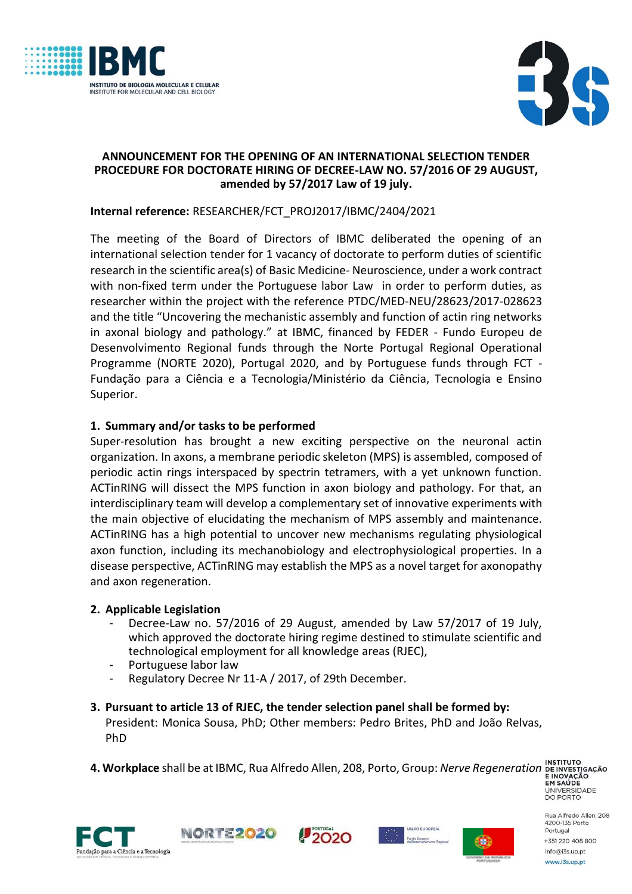



#### **ANNOUNCEMENT FOR THE OPENING OF AN INTERNATIONAL SELECTION TENDER PROCEDURE FOR DOCTORATE HIRING OF DECREE-LAW NO. 57/2016 OF 29 AUGUST, amended by 57/2017 Law of 19 july.**

### **Internal reference:** RESEARCHER/FCT\_PROJ2017/IBMC/2404/2021

The meeting of the Board of Directors of IBMC deliberated the opening of an international selection tender for 1 vacancy of doctorate to perform duties of scientific research in the scientific area(s) of Basic Medicine- Neuroscience, under a work contract with non-fixed term under the Portuguese labor Law in order to perform duties, as researcher within the project with the reference PTDC/MED-NEU/28623/2017-028623 and the title "Uncovering the mechanistic assembly and function of actin ring networks in axonal biology and pathology." at IBMC, financed by FEDER - Fundo Europeu de Desenvolvimento Regional funds through the Norte Portugal Regional Operational Programme (NORTE 2020), Portugal 2020, and by Portuguese funds through FCT - Fundação para a Ciência e a Tecnologia/Ministério da Ciência, Tecnologia e Ensino Superior.

# **1. Summary and/or tasks to be performed**

Super-resolution has brought a new exciting perspective on the neuronal actin organization. In axons, a membrane periodic skeleton (MPS) is assembled, composed of periodic actin rings interspaced by spectrin tetramers, with a yet unknown function. ACTinRING will dissect the MPS function in axon biology and pathology. For that, an interdisciplinary team will develop a complementary set of innovative experiments with the main objective of elucidating the mechanism of MPS assembly and maintenance. ACTinRING has a high potential to uncover new mechanisms regulating physiological axon function, including its mechanobiology and electrophysiological properties. In a disease perspective, ACTinRING may establish the MPS as a novel target for axonopathy and axon regeneration.

### **2. Applicable Legislation**

- Decree-Law no. 57/2016 of 29 August, amended by Law 57/2017 of 19 July, which approved the doctorate hiring regime destined to stimulate scientific and technological employment for all knowledge areas (RJEC),
- Portuguese labor law
- Regulatory Decree Nr 11-A / 2017, of 29th December.

### **3. Pursuant to article 13 of RJEC, the tender selection panel shall be formed by:**

President: Monica Sousa, PhD; Other members: Pedro Brites, PhD and João Relvas, PhD

**4. Workplace** shall be at IBMC, Rua Alfredo Allen, 208, Porto, Group: *Nerve Regeneration*











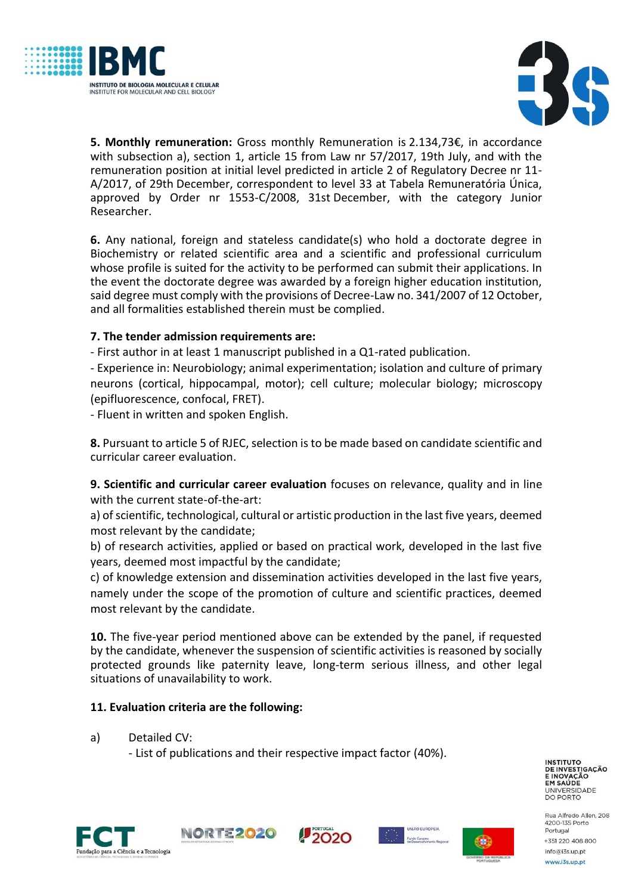



**5. Monthly remuneration:** Gross monthly Remuneration is 2.134,73€, in accordance with subsection a), section 1, article 15 from Law nr 57/2017, 19th July, and with the remuneration position at initial level predicted in article 2 of Regulatory Decree nr 11- A/2017, of 29th December, correspondent to level 33 at Tabela Remuneratória Única, approved by Order nr 1553-C/2008, 31st December, with the category Junior Researcher.

**6.** Any national, foreign and stateless candidate(s) who hold a doctorate degree in Biochemistry or related scientific area and a scientific and professional curriculum whose profile is suited for the activity to be performed can submit their applications. In the event the doctorate degree was awarded by a foreign higher education institution, said degree must comply with the provisions of Decree-Law no. 341/2007 of 12 October, and all formalities established therein must be complied.

# **7. The tender admission requirements are:**

- First author in at least 1 manuscript published in a Q1-rated publication.

- Experience in: Neurobiology; animal experimentation; isolation and culture of primary neurons (cortical, hippocampal, motor); cell culture; molecular biology; microscopy (epifluorescence, confocal, FRET).

- Fluent in written and spoken English.

**8.** Pursuant to article 5 of RJEC, selection is to be made based on candidate scientific and curricular career evaluation.

**9. Scientific and curricular career evaluation** focuses on relevance, quality and in line with the current state-of-the-art:

a) of scientific, technological, cultural or artistic production in the last five years, deemed most relevant by the candidate;

b) of research activities, applied or based on practical work, developed in the last five years, deemed most impactful by the candidate;

c) of knowledge extension and dissemination activities developed in the last five years, namely under the scope of the promotion of culture and scientific practices, deemed most relevant by the candidate.

**10.** The five-year period mentioned above can be extended by the panel, if requested by the candidate, whenever the suspension of scientific activities is reasoned by socially protected grounds like paternity leave, long-term serious illness, and other legal situations of unavailability to work.

### **11. Evaluation criteria are the following:**

a) Detailed CV:

- List of publications and their respective impact factor (40%).

**INSTITUTO** DE INVESTIGAÇÃO EM SAÚDE UNIVERSIDADE<br>DO PORTO



NORTE2020





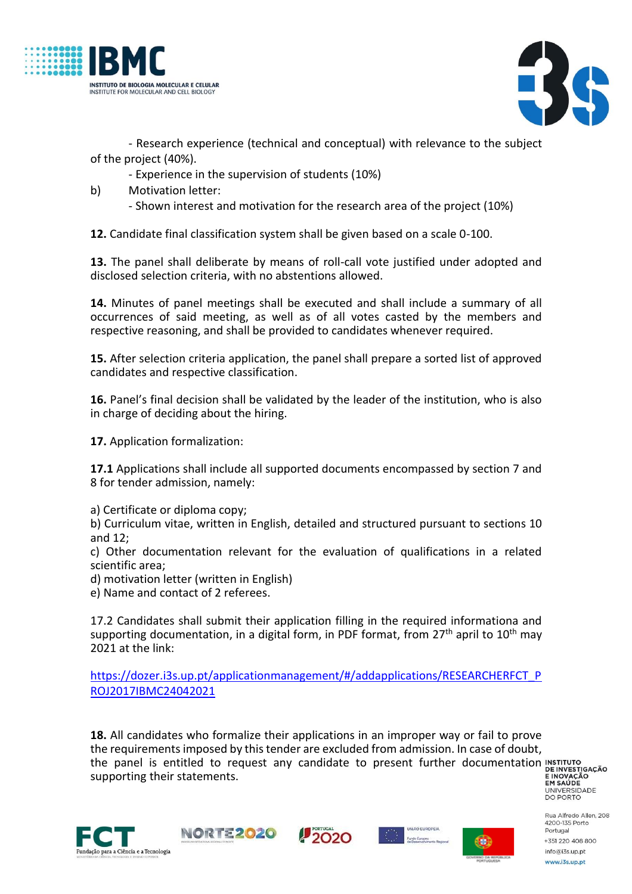



- Research experience (technical and conceptual) with relevance to the subject of the project (40%).

- Experience in the supervision of students (10%)
- b) Motivation letter:
	- Shown interest and motivation for the research area of the project (10%)

**12.** Candidate final classification system shall be given based on a scale 0-100.

**13.** The panel shall deliberate by means of roll-call vote justified under adopted and disclosed selection criteria, with no abstentions allowed.

**14.** Minutes of panel meetings shall be executed and shall include a summary of all occurrences of said meeting, as well as of all votes casted by the members and respective reasoning, and shall be provided to candidates whenever required.

**15.** After selection criteria application, the panel shall prepare a sorted list of approved candidates and respective classification.

**16.** Panel's final decision shall be validated by the leader of the institution, who is also in charge of deciding about the hiring.

**17.** Application formalization:

**17.1** Applications shall include all supported documents encompassed by section 7 and 8 for tender admission, namely:

a) Certificate or diploma copy;

b) Curriculum vitae, written in English, detailed and structured pursuant to sections 10 and 12;

c) Other documentation relevant for the evaluation of qualifications in a related scientific area;

d) motivation letter (written in English)

e) Name and contact of 2 referees.

17.2 Candidates shall submit their application filling in the required informationa and supporting documentation, in a digital form, in PDF format, from 27<sup>th</sup> april to  $10<sup>th</sup>$  may 2021 at the link:

[https://dozer.i3s.up.pt/applicationmanagement/#/addapplications/RESEARCHERFCT\\_P](https://dozer.i3s.up.pt/applicationmanagement/#/addapplications/RESEARCHERFCT_PROJ2017IBMC24042021) [ROJ2017IBMC24042021](https://dozer.i3s.up.pt/applicationmanagement/#/addapplications/RESEARCHERFCT_PROJ2017IBMC24042021)

**18.** All candidates who formalize their applications in an improper way or fail to prove the requirements imposed by this tender are excluded from admission. In case of doubt, the panel is entitled to request any candidate to present further documentation **INSTITUTO**<br>Supporting their statements. supporting their statements.

**ENOVAÇÃO<br>EM SAÚDE<br>UNIVERSIDADE<br>DO PORTO**